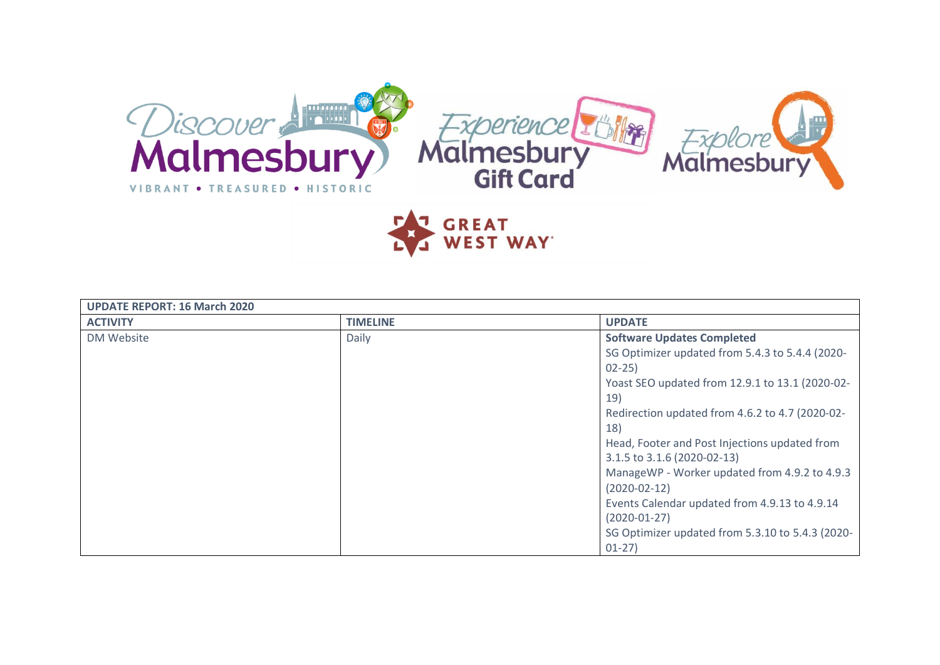

**GREAT<br>WEST WAY** 

| <b>UPDATE REPORT: 16 March 2020</b> |                 |                                                  |
|-------------------------------------|-----------------|--------------------------------------------------|
| <b>ACTIVITY</b>                     | <b>TIMELINE</b> | <b>UPDATE</b>                                    |
| DM Website                          | Daily           | <b>Software Updates Completed</b>                |
|                                     |                 | SG Optimizer updated from 5.4.3 to 5.4.4 (2020-  |
|                                     |                 | $02 - 25$                                        |
|                                     |                 | Yoast SEO updated from 12.9.1 to 13.1 (2020-02-  |
|                                     |                 | 19)                                              |
|                                     |                 | Redirection updated from 4.6.2 to 4.7 (2020-02-  |
|                                     |                 | <b>18)</b>                                       |
|                                     |                 | Head, Footer and Post Injections updated from    |
|                                     |                 | 3.1.5 to 3.1.6 (2020-02-13)                      |
|                                     |                 | ManageWP - Worker updated from 4.9.2 to 4.9.3    |
|                                     |                 | $(2020-02-12)$                                   |
|                                     |                 | Events Calendar updated from 4.9.13 to 4.9.14    |
|                                     |                 | $(2020-01-27)$                                   |
|                                     |                 | SG Optimizer updated from 5.3.10 to 5.4.3 (2020- |
|                                     |                 | $01-27$                                          |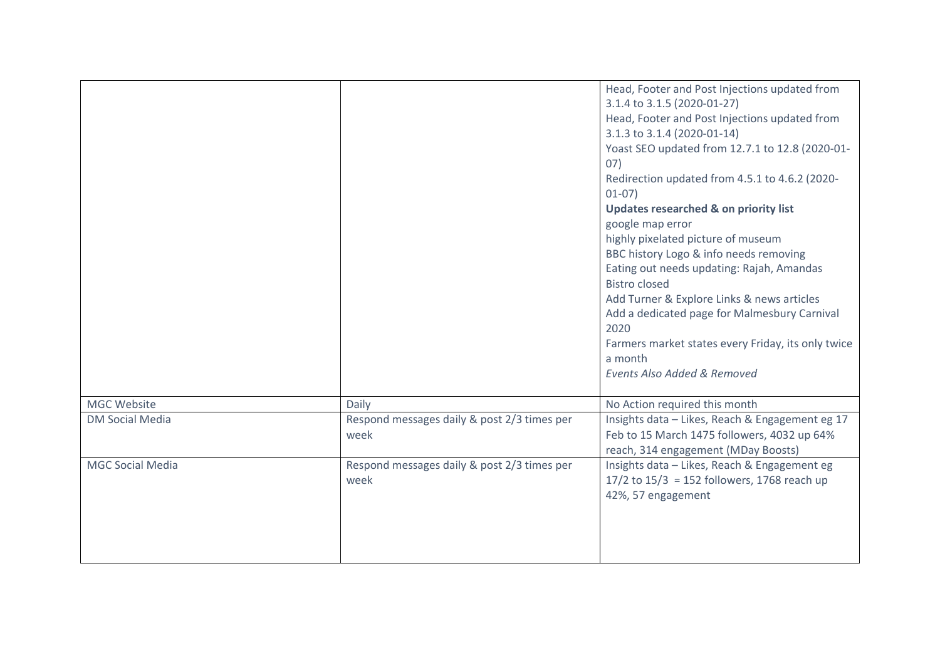|                         |                                                     | Head, Footer and Post Injections updated from<br>3.1.4 to 3.1.5 (2020-01-27)<br>Head, Footer and Post Injections updated from<br>3.1.3 to 3.1.4 (2020-01-14)<br>Yoast SEO updated from 12.7.1 to 12.8 (2020-01-<br>07)<br>Redirection updated from 4.5.1 to 4.6.2 (2020-<br>$01-07)$<br><b>Updates researched &amp; on priority list</b><br>google map error<br>highly pixelated picture of museum<br>BBC history Logo & info needs removing<br>Eating out needs updating: Rajah, Amandas<br><b>Bistro closed</b><br>Add Turner & Explore Links & news articles<br>Add a dedicated page for Malmesbury Carnival<br>2020<br>Farmers market states every Friday, its only twice<br>a month<br><b>Events Also Added &amp; Removed</b> |
|-------------------------|-----------------------------------------------------|------------------------------------------------------------------------------------------------------------------------------------------------------------------------------------------------------------------------------------------------------------------------------------------------------------------------------------------------------------------------------------------------------------------------------------------------------------------------------------------------------------------------------------------------------------------------------------------------------------------------------------------------------------------------------------------------------------------------------------|
| MGC Website             | Daily                                               | No Action required this month                                                                                                                                                                                                                                                                                                                                                                                                                                                                                                                                                                                                                                                                                                      |
| <b>DM Social Media</b>  | Respond messages daily & post 2/3 times per<br>week | Insights data - Likes, Reach & Engagement eg 17<br>Feb to 15 March 1475 followers, 4032 up 64%<br>reach, 314 engagement (MDay Boosts)                                                                                                                                                                                                                                                                                                                                                                                                                                                                                                                                                                                              |
| <b>MGC Social Media</b> | Respond messages daily & post 2/3 times per<br>week | Insights data - Likes, Reach & Engagement eg<br>17/2 to $15/3$ = 152 followers, 1768 reach up<br>42%, 57 engagement                                                                                                                                                                                                                                                                                                                                                                                                                                                                                                                                                                                                                |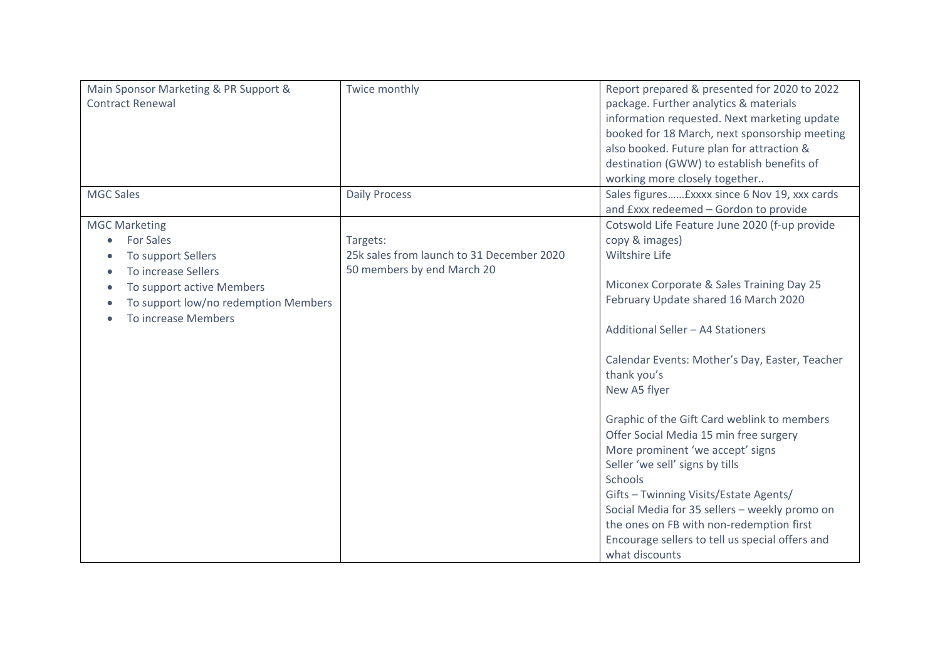| Main Sponsor Marketing & PR Support &<br><b>Contract Renewal</b>                                                                                                                       | Twice monthly                                                                       | Report prepared & presented for 2020 to 2022<br>package. Further analytics & materials<br>information requested. Next marketing update<br>booked for 18 March, next sponsorship meeting<br>also booked. Future plan for attraction &<br>destination (GWW) to establish benefits of<br>working more closely together                                                                                                                                                                                                                                                                                                                                                                        |
|----------------------------------------------------------------------------------------------------------------------------------------------------------------------------------------|-------------------------------------------------------------------------------------|--------------------------------------------------------------------------------------------------------------------------------------------------------------------------------------------------------------------------------------------------------------------------------------------------------------------------------------------------------------------------------------------------------------------------------------------------------------------------------------------------------------------------------------------------------------------------------------------------------------------------------------------------------------------------------------------|
| <b>MGC Sales</b>                                                                                                                                                                       | <b>Daily Process</b>                                                                | Sales figures £xxxx since 6 Nov 19, xxx cards<br>and Exxx redeemed - Gordon to provide                                                                                                                                                                                                                                                                                                                                                                                                                                                                                                                                                                                                     |
| <b>MGC Marketing</b><br><b>For Sales</b><br>۰<br>To support Sellers<br>To increase Sellers<br>To support active Members<br>To support low/no redemption Members<br>To increase Members | Targets:<br>25k sales from launch to 31 December 2020<br>50 members by end March 20 | Cotswold Life Feature June 2020 (f-up provide<br>copy & images)<br><b>Wiltshire Life</b><br>Miconex Corporate & Sales Training Day 25<br>February Update shared 16 March 2020<br>Additional Seller - A4 Stationers<br>Calendar Events: Mother's Day, Easter, Teacher<br>thank you's<br>New A5 flyer<br>Graphic of the Gift Card weblink to members<br>Offer Social Media 15 min free surgery<br>More prominent 'we accept' signs<br>Seller 'we sell' signs by tills<br>Schools<br>Gifts - Twinning Visits/Estate Agents/<br>Social Media for 35 sellers - weekly promo on<br>the ones on FB with non-redemption first<br>Encourage sellers to tell us special offers and<br>what discounts |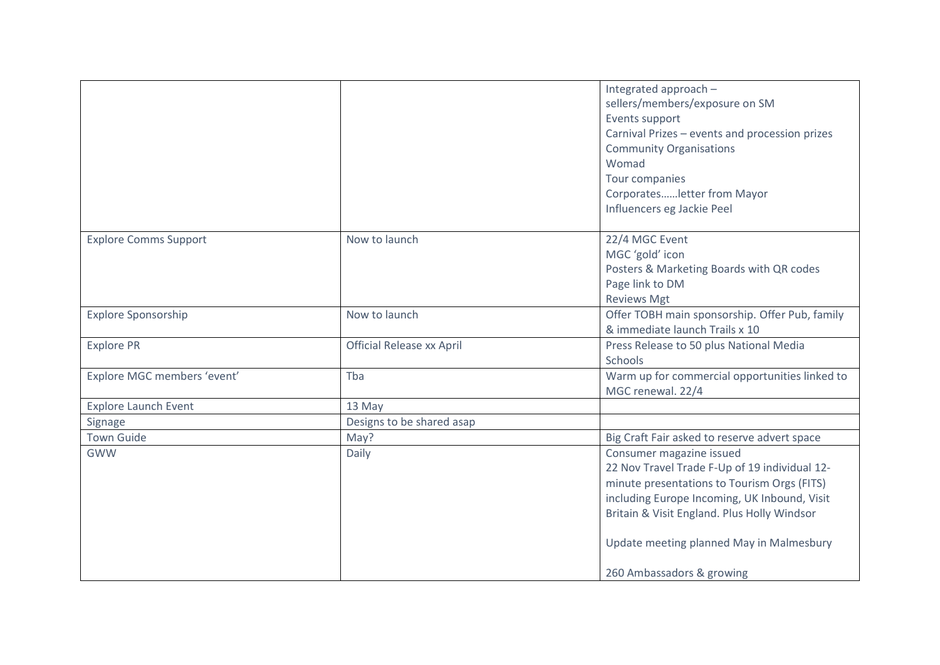|                              |                                  | Integrated approach -                          |
|------------------------------|----------------------------------|------------------------------------------------|
|                              |                                  | sellers/members/exposure on SM                 |
|                              |                                  | Events support                                 |
|                              |                                  | Carnival Prizes - events and procession prizes |
|                              |                                  | <b>Community Organisations</b>                 |
|                              |                                  | Womad                                          |
|                              |                                  | Tour companies                                 |
|                              |                                  | Corporatesletter from Mayor                    |
|                              |                                  | Influencers eg Jackie Peel                     |
|                              |                                  |                                                |
| <b>Explore Comms Support</b> | Now to launch                    | 22/4 MGC Event                                 |
|                              |                                  | MGC 'gold' icon                                |
|                              |                                  | Posters & Marketing Boards with QR codes       |
|                              |                                  | Page link to DM                                |
|                              |                                  | <b>Reviews Mgt</b>                             |
| <b>Explore Sponsorship</b>   | Now to launch                    | Offer TOBH main sponsorship. Offer Pub, family |
|                              |                                  | & immediate launch Trails x 10                 |
| <b>Explore PR</b>            | <b>Official Release xx April</b> | Press Release to 50 plus National Media        |
|                              |                                  | Schools                                        |
| Explore MGC members 'event'  | Tba                              | Warm up for commercial opportunities linked to |
|                              |                                  | MGC renewal. 22/4                              |
| <b>Explore Launch Event</b>  | 13 May                           |                                                |
| Signage                      | Designs to be shared asap        |                                                |
| <b>Town Guide</b>            | May?                             | Big Craft Fair asked to reserve advert space   |
| <b>GWW</b>                   | Daily                            | Consumer magazine issued                       |
|                              |                                  | 22 Nov Travel Trade F-Up of 19 individual 12-  |
|                              |                                  | minute presentations to Tourism Orgs (FITS)    |
|                              |                                  | including Europe Incoming, UK Inbound, Visit   |
|                              |                                  | Britain & Visit England. Plus Holly Windsor    |
|                              |                                  |                                                |
|                              |                                  | Update meeting planned May in Malmesbury       |
|                              |                                  | 260 Ambassadors & growing                      |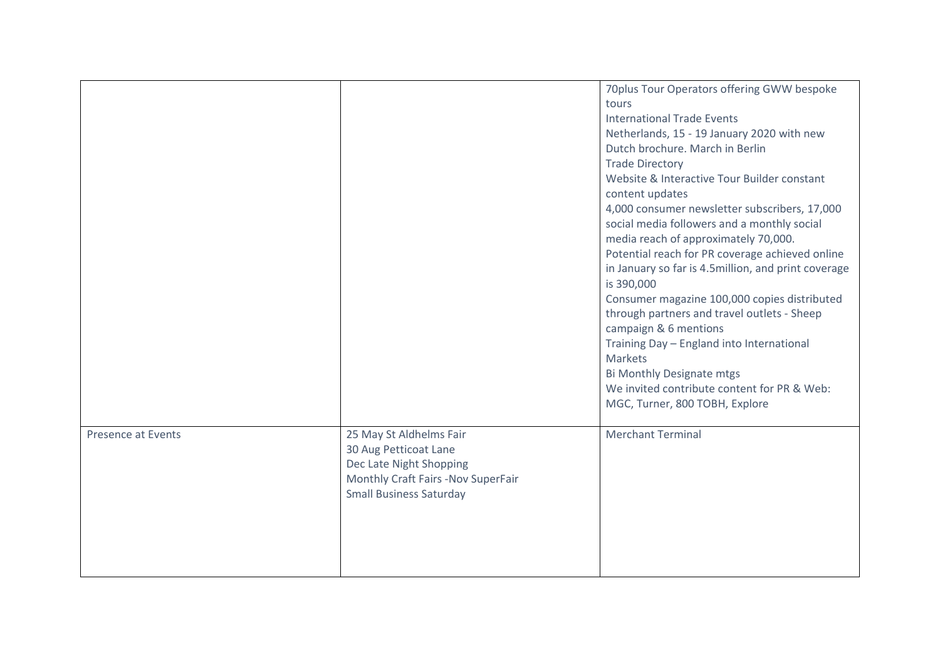|                           |                                                                                                                                                     | 70plus Tour Operators offering GWW bespoke<br>tours<br><b>International Trade Events</b><br>Netherlands, 15 - 19 January 2020 with new<br>Dutch brochure. March in Berlin<br><b>Trade Directory</b><br>Website & Interactive Tour Builder constant<br>content updates<br>4,000 consumer newsletter subscribers, 17,000<br>social media followers and a monthly social<br>media reach of approximately 70,000.<br>Potential reach for PR coverage achieved online<br>in January so far is 4.5million, and print coverage<br>is 390,000<br>Consumer magazine 100,000 copies distributed<br>through partners and travel outlets - Sheep<br>campaign & 6 mentions<br>Training Day - England into International<br><b>Markets</b><br>Bi Monthly Designate mtgs<br>We invited contribute content for PR & Web:<br>MGC, Turner, 800 TOBH, Explore |
|---------------------------|-----------------------------------------------------------------------------------------------------------------------------------------------------|--------------------------------------------------------------------------------------------------------------------------------------------------------------------------------------------------------------------------------------------------------------------------------------------------------------------------------------------------------------------------------------------------------------------------------------------------------------------------------------------------------------------------------------------------------------------------------------------------------------------------------------------------------------------------------------------------------------------------------------------------------------------------------------------------------------------------------------------|
| <b>Presence at Events</b> | 25 May St Aldhelms Fair<br>30 Aug Petticoat Lane<br>Dec Late Night Shopping<br>Monthly Craft Fairs -Nov SuperFair<br><b>Small Business Saturday</b> | <b>Merchant Terminal</b>                                                                                                                                                                                                                                                                                                                                                                                                                                                                                                                                                                                                                                                                                                                                                                                                                   |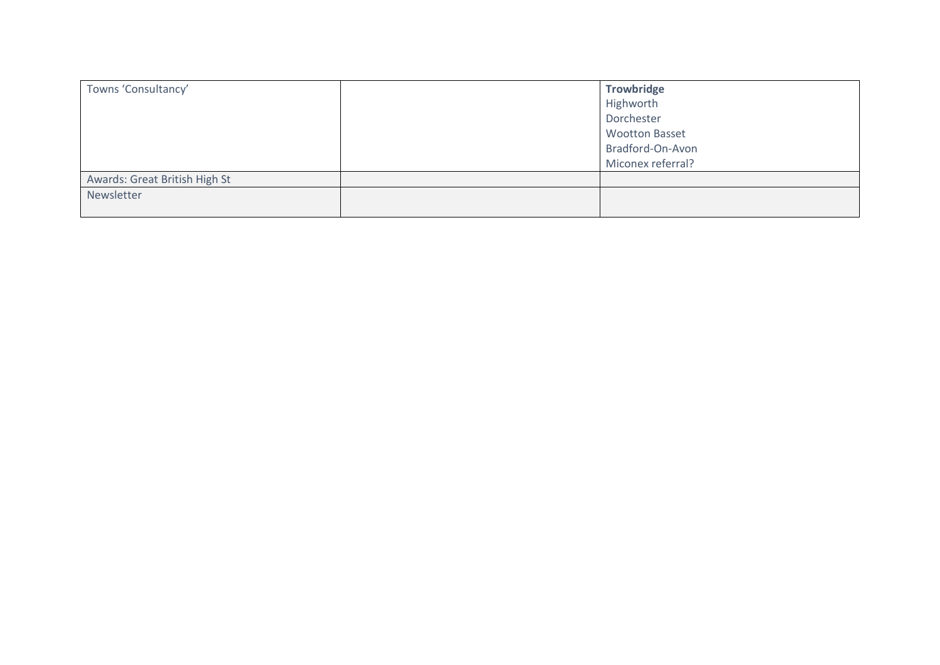| Towns 'Consultancy'           | Trowbridge            |
|-------------------------------|-----------------------|
|                               | Highworth             |
|                               | Dorchester            |
|                               | <b>Wootton Basset</b> |
|                               | Bradford-On-Avon      |
|                               | Miconex referral?     |
| Awards: Great British High St |                       |
| Newsletter                    |                       |
|                               |                       |